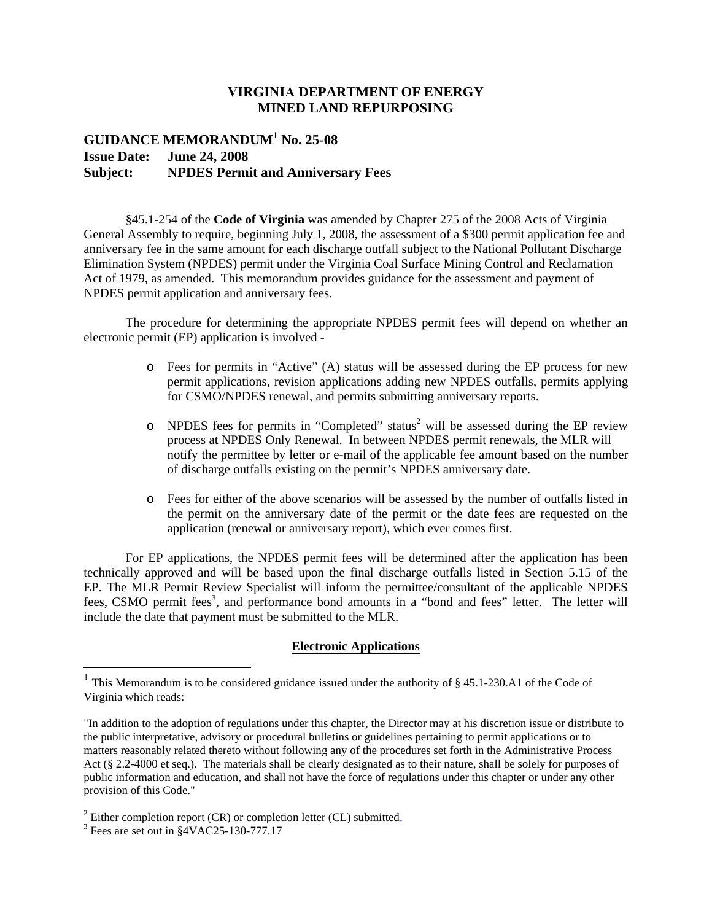## **VIRGINIA DEPARTMENT OF ENERGY MINED LAND REPURPOSING**

## **GUIDANCE MEMORANDUM<sup>1</sup> No. 25-08 Issue Date: June 24, 2008 Subject: NPDES Permit and Anniversary Fees**

§45.1-254 of the **Code of Virginia** was amended by Chapter 275 of the 2008 Acts of Virginia General Assembly to require, beginning July 1, 2008, the assessment of a \$300 permit application fee and anniversary fee in the same amount for each discharge outfall subject to the National Pollutant Discharge Elimination System (NPDES) permit under the Virginia Coal Surface Mining Control and Reclamation Act of 1979, as amended. This memorandum provides guidance for the assessment and payment of NPDES permit application and anniversary fees.

The procedure for determining the appropriate NPDES permit fees will depend on whether an electronic permit (EP) application is involved -

- o Fees for permits in "Active" (A) status will be assessed during the EP process for new permit applications, revision applications adding new NPDES outfalls, permits applying for CSMO/NPDES renewal, and permits submitting anniversary reports.
- $\circ$  NPDES fees for permits in "Completed" status<sup>2</sup> will be assessed during the EP review process at NPDES Only Renewal. In between NPDES permit renewals, the MLR will notify the permittee by letter or e-mail of the applicable fee amount based on the number of discharge outfalls existing on the permit's NPDES anniversary date.
- o Fees for either of the above scenarios will be assessed by the number of outfalls listed in the permit on the anniversary date of the permit or the date fees are requested on the application (renewal or anniversary report), which ever comes first.

For EP applications, the NPDES permit fees will be determined after the application has been technically approved and will be based upon the final discharge outfalls listed in Section 5.15 of the EP. The MLR Permit Review Specialist will inform the permittee/consultant of the applicable NPDES fees, CSMO permit fees<sup>3</sup>, and performance bond amounts in a "bond and fees" letter. The letter will include the date that payment must be submitted to the MLR.

## **Electronic Applications**

<sup>&</sup>lt;sup>1</sup> This Memorandum is to be considered guidance issued under the authority of § 45.1-230.A1 of the Code of Virginia which reads:

<sup>&</sup>quot;In addition to the adoption of regulations under this chapter, the Director may at his discretion issue or distribute to the public interpretative, advisory or procedural bulletins or guidelines pertaining to permit applications or to matters reasonably related thereto without following any of the procedures set forth in the Administrative Process Act (§ 2.2-4000 et seq.). The materials shall be clearly designated as to their nature, shall be solely for purposes of public information and education, and shall not have the force of regulations under this chapter or under any other provision of this Code."

<sup>&</sup>lt;sup>2</sup> Either completion report (CR) or completion letter (CL) submitted.

 $3$  Fees are set out in  $\S$ 4VAC25-130-777.17